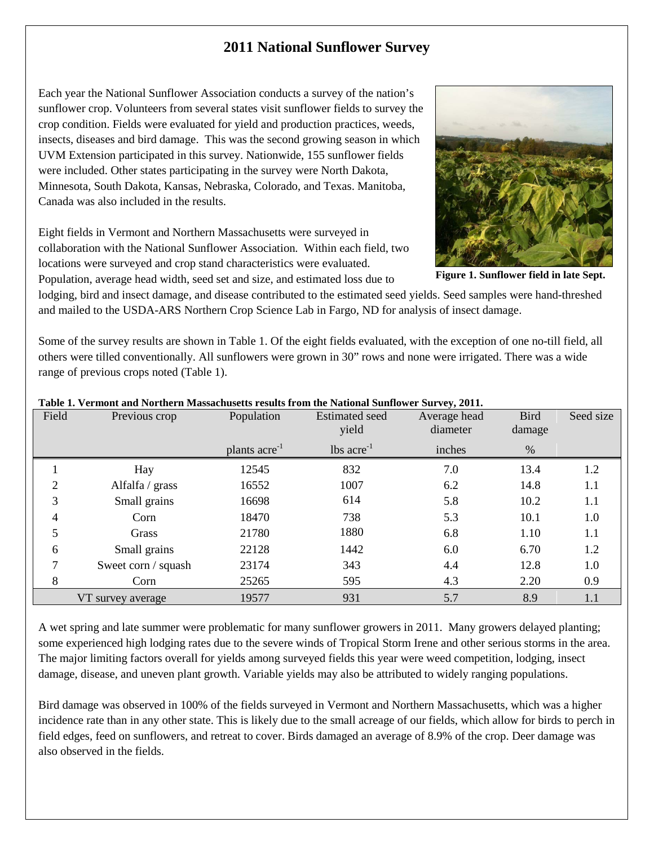## **2011 National Sunflower Survey**

Each year the National Sunflower Association conducts a survey of the nation's sunflower crop. Volunteers from several states visit sunflower fields to survey the crop condition. Fields were evaluated for yield and production practices, weeds, insects, diseases and bird damage. This was the second growing season in which UVM Extension participated in this survey. Nationwide, 155 sunflower fields were included. Other states participating in the survey were North Dakota, Minnesota, South Dakota, Kansas, Nebraska, Colorado, and Texas. Manitoba, Canada was also included in the results.

Eight fields in Vermont and Northern Massachusetts were surveyed in collaboration with the National Sunflower Association. Within each field, two locations were surveyed and crop stand characteristics were evaluated. Population, average head width, seed set and size, and estimated loss due to

**Figure 1. Sunflower field in late Sept.**

lodging, bird and insect damage, and disease contributed to the estimated seed yields. Seed samples were hand-threshed and mailed to the USDA-ARS Northern Crop Science Lab in Fargo, ND for analysis of insect damage.

Some of the survey results are shown in Table 1. Of the eight fields evaluated, with the exception of one no-till field, all others were tilled conventionally. All sunflowers were grown in 30" rows and none were irrigated. There was a wide range of previous crops noted (Table 1).

| Field             | Previous crop       | Population                | <b>Estimated</b> seed<br>yield | Average head<br>diameter | <b>Bird</b><br>damage | Seed size |
|-------------------|---------------------|---------------------------|--------------------------------|--------------------------|-----------------------|-----------|
|                   |                     | plants acre <sup>-1</sup> | $\text{lbs acre}^{-1}$         | inches                   | %                     |           |
|                   | Hay                 | 12545                     | 832                            | 7.0                      | 13.4                  | 1.2       |
| 2                 | Alfalfa / grass     | 16552                     | 1007                           | 6.2                      | 14.8                  | 1.1       |
| 3                 | Small grains        | 16698                     | 614                            | 5.8                      | 10.2                  | 1.1       |
| 4                 | Corn                | 18470                     | 738                            | 5.3                      | 10.1                  | 1.0       |
| 5                 | Grass               | 21780                     | 1880                           | 6.8                      | 1.10                  | 1.1       |
| 6                 | Small grains        | 22128                     | 1442                           | 6.0                      | 6.70                  | 1.2       |
| 7                 | Sweet corn / squash | 23174                     | 343                            | 4.4                      | 12.8                  | 1.0       |
| 8                 | Corn                | 25265                     | 595                            | 4.3                      | 2.20                  | 0.9       |
| VT survey average |                     | 19577                     | 931                            | 5.7                      | 8.9                   | 1.1       |

## **Table 1. Vermont and Northern Massachusetts results from the National Sunflower Survey, 2011.**

A wet spring and late summer were problematic for many sunflower growers in 2011. Many growers delayed planting; some experienced high lodging rates due to the severe winds of Tropical Storm Irene and other serious storms in the area. The major limiting factors overall for yields among surveyed fields this year were weed competition, lodging, insect damage, disease, and uneven plant growth. Variable yields may also be attributed to widely ranging populations.

Bird damage was observed in 100% of the fields surveyed in Vermont and Northern Massachusetts, which was a higher incidence rate than in any other state. This is likely due to the small acreage of our fields, which allow for birds to perch in field edges, feed on sunflowers, and retreat to cover. Birds damaged an average of 8.9% of the crop. Deer damage was also observed in the fields.